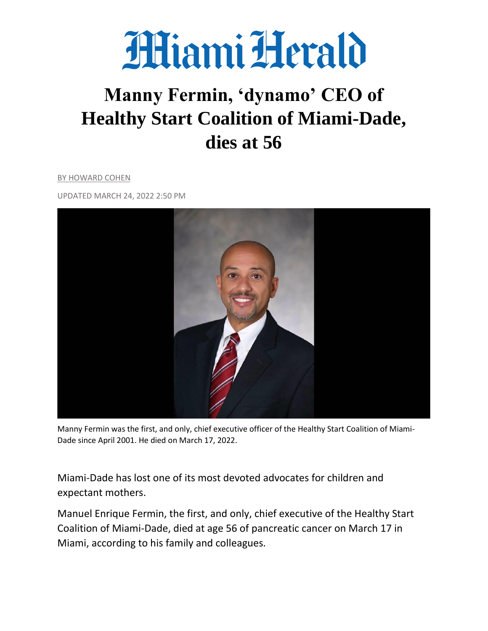

# **Manny Fermin, 'dynamo' CEO of Healthy Start Coalition of Miami-Dade, dies at 56**

BY HOWARD COHEN

UPDATED MARCH 24, 2022 2:50 PM



Manny Fermin was the first, and only, chief executive officer of the Healthy Start Coalition of Miami-Dade since April 2001. He died on March 17, 2022.

Miami-Dade has lost one of its most devoted advocates for children and expectant mothers.

Manuel Enrique Fermin, the first, and only, chief executive of the Healthy Start Coalition of Miami-Dade, died at age 56 of pancreatic cancer on March 17 in Miami, according to his family and colleagues.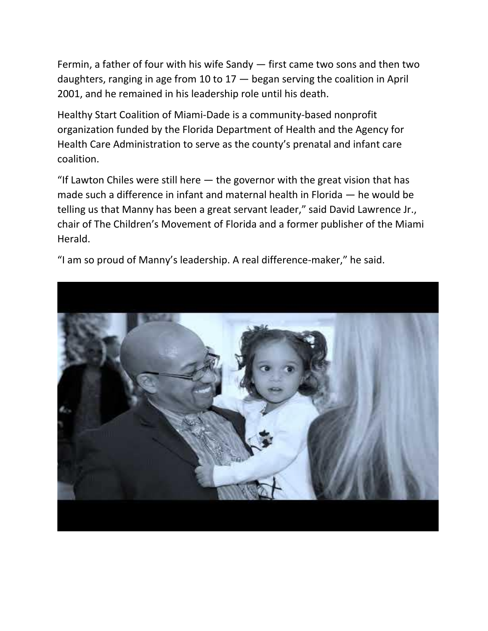Fermin, a father of four with his wife Sandy — first came two sons and then two daughters, ranging in age from 10 to  $17 -$  began serving the coalition in April 2001, and he remained in his leadership role until his death.

Healthy Start Coalition of Miami-Dade is a community-based nonprofit organization funded by the Florida Department of Health and the Agency for Health Care Administration to serve as the county's prenatal and infant care coalition.

"If Lawton Chiles were still here  $-$  the governor with the great vision that has made such a difference in infant and maternal health in Florida — he would be telling us that Manny has been a great servant leader," said David Lawrence Jr., chair of The Children's Movement of Florida and a former publisher of the Miami Herald.

"I am so proud of Manny's leadership. A real difference-maker," he said.

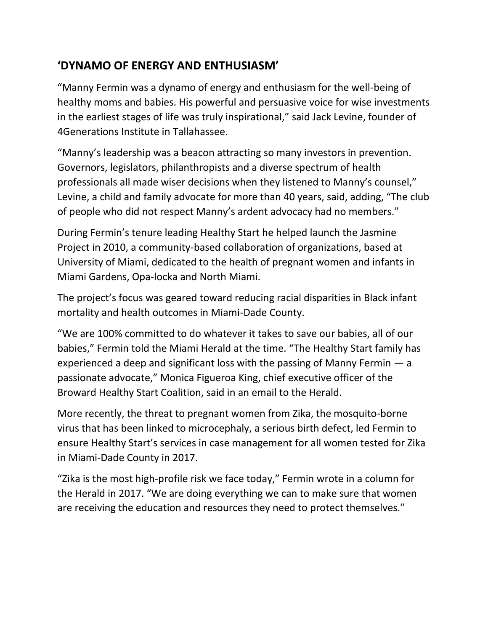## **'DYNAMO OF ENERGY AND ENTHUSIASM'**

"Manny Fermin was a dynamo of energy and enthusiasm for the well-being of healthy moms and babies. His powerful and persuasive voice for wise investments in the earliest stages of life was truly inspirational," said Jack Levine, founder of 4Generations Institute in Tallahassee.

"Manny's leadership was a beacon attracting so many investors in prevention. Governors, legislators, philanthropists and a diverse spectrum of health professionals all made wiser decisions when they listened to Manny's counsel," Levine, a child and family advocate for more than 40 years, said, adding, "The club of people who did not respect Manny's ardent advocacy had no members."

During Fermin's tenure leading Healthy Start he helped launch the Jasmine Project in 2010, a community-based collaboration of organizations, based at University of Miami, dedicated to the health of pregnant women and infants in Miami Gardens, Opa-locka and North Miami.

The project's focus was geared toward reducing racial disparities in Black infant mortality and health outcomes in Miami-Dade County.

"We are 100% committed to do whatever it takes to save our babies, all of our babies," Fermin told the Miami Herald at the time. "The Healthy Start family has experienced a deep and significant loss with the passing of Manny Fermin — a passionate advocate," Monica Figueroa King, chief executive officer of the Broward Healthy Start Coalition, said in an email to the Herald.

More recently, the threat to pregnant women from Zika, the mosquito-borne virus that has been linked to microcephaly, a serious birth defect, led Fermin to ensure Healthy Start's services in case management for all women tested for Zika in Miami-Dade County in 2017.

"Zika is the most high-profile risk we face today," Fermin wrote in a column for the Herald in 2017. "We are doing everything we can to make sure that women are receiving the education and resources they need to protect themselves."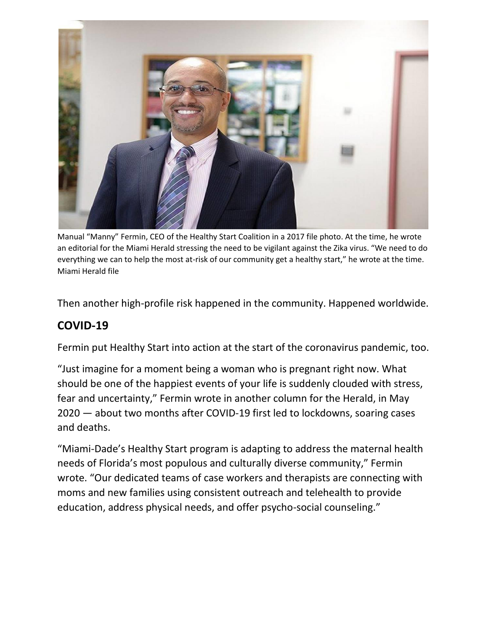

Manual "Manny" Fermin, CEO of the Healthy Start Coalition in a 2017 file photo. At the time, he wrote an editorial for the Miami Herald stressing the need to be vigilant against the Zika virus. "We need to do everything we can to help the most at-risk of our community get a healthy start," he wrote at the time. Miami Herald file

Then another high-profile risk happened in the community. Happened worldwide.

# **COVID-19**

Fermin put Healthy Start into action at the start of the coronavirus pandemic, too.

"Just imagine for a moment being a woman who is pregnant right now. What should be one of the happiest events of your life is suddenly clouded with stress, fear and uncertainty," Fermin wrote in another column for the Herald, in May 2020 — about two months after COVID-19 first led to lockdowns, soaring cases and deaths.

"Miami-Dade's Healthy Start program is adapting to address the maternal health needs of Florida's most populous and culturally diverse community," Fermin wrote. "Our dedicated teams of case workers and therapists are connecting with moms and new families using consistent outreach and telehealth to provide education, address physical needs, and offer psycho-social counseling."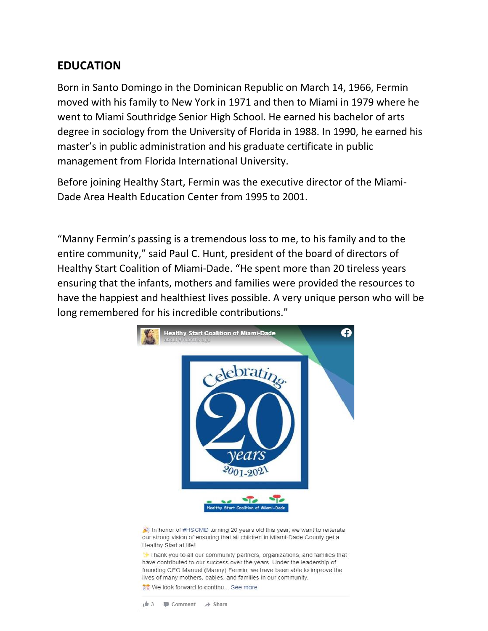#### **EDUCATION**

Born in Santo Domingo in the Dominican Republic on March 14, 1966, Fermin moved with his family to New York in 1971 and then to Miami in 1979 where he went to Miami Southridge Senior High School. He earned his bachelor of arts degree in sociology from the University of Florida in 1988. In 1990, he earned his master's in public administration and his graduate certificate in public management from Florida International University.

Before joining Healthy Start, Fermin was the executive director of the Miami-Dade Area Health Education Center from 1995 to 2001.

"Manny Fermin's passing is a tremendous loss to me, to his family and to the entire community," said Paul C. Hunt, president of the board of directors of Healthy Start Coalition of Miami-Dade. "He spent more than 20 tireless years ensuring that the infants, mothers and families were provided the resources to have the happiest and healthiest lives possible. A very unique person who will be long remembered for his incredible contributions."